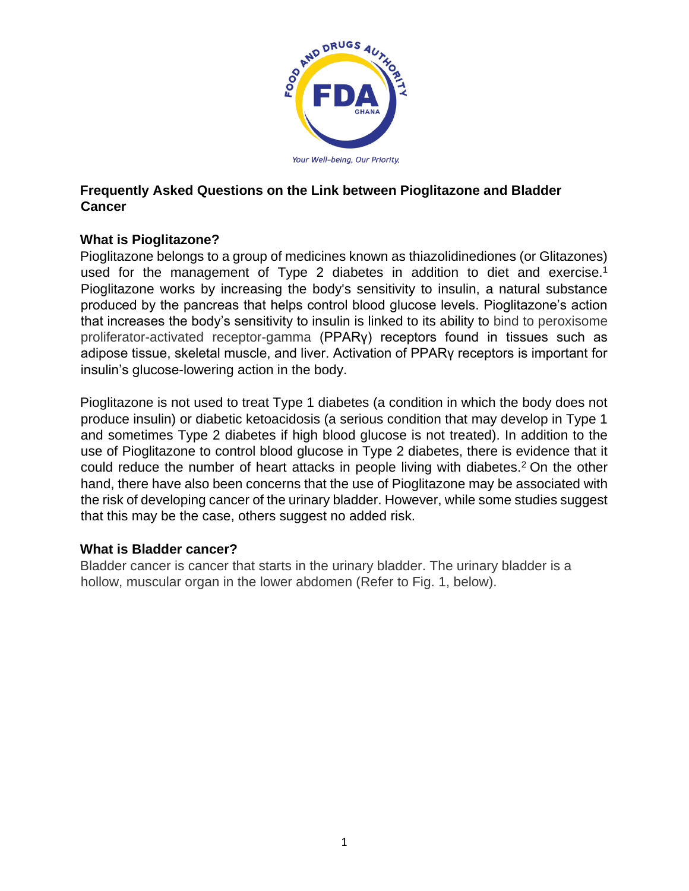

### **Frequently Asked Questions on the Link between Pioglitazone and Bladder Cancer**

# **What is Pioglitazone?**

Pioglitazone belongs to a group of medicines known as thiazolidinediones (or Glitazones) used for the management of Type 2 diabetes in addition to diet and exercise.<sup>1</sup> Pioglitazone works by increasing the body's sensitivity to insulin, a natural substance produced by the pancreas that helps control blood glucose levels. Pioglitazone's action that increases the body's sensitivity to insulin is linked to its ability to bind to peroxisome proliferator-activated receptor-gamma (PPARγ) receptors found in tissues such as adipose tissue, skeletal muscle, and liver. Activation of PPARγ receptors is important for insulin's glucose-lowering action in the body.

Pioglitazone is not used to treat Type 1 diabetes (a condition in which the body does not produce insulin) or diabetic ketoacidosis (a serious condition that may develop in Type 1 and sometimes Type 2 diabetes if high blood glucose is not treated). In addition to the use of Pioglitazone to control blood glucose in Type 2 diabetes, there is evidence that it could reduce the number of heart attacks in people living with diabetes.<sup>2</sup> On the other hand, there have also been concerns that the use of Pioglitazone may be associated with the risk of developing cancer of the urinary bladder. However, while some studies suggest that this may be the case, others suggest no added risk.

### **What is Bladder cancer?**

Bladder cancer is cancer that starts in the urinary bladder. The urinary bladder is a hollow, muscular organ in the lower abdomen (Refer to Fig. 1, below).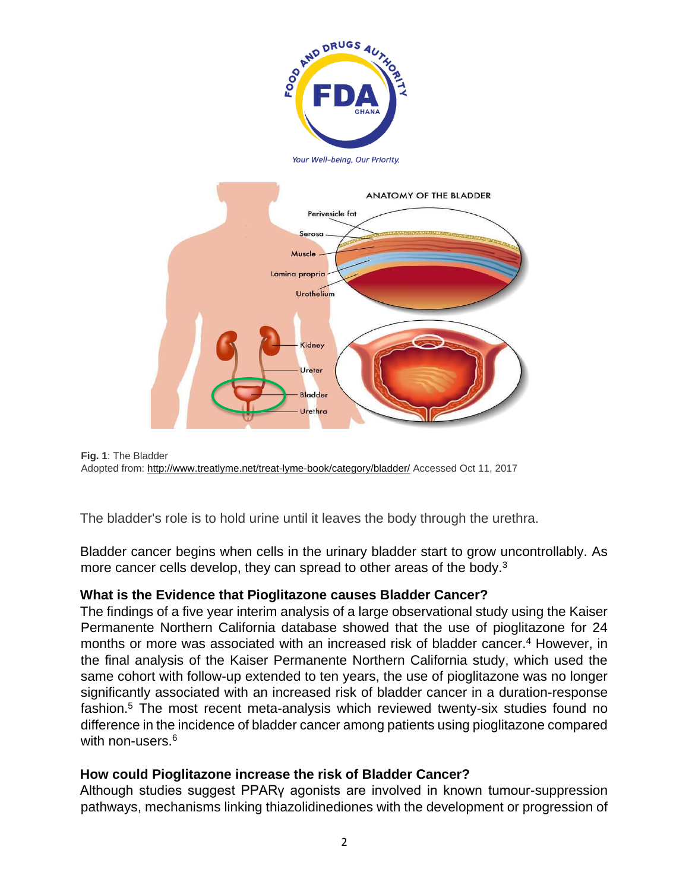



```
Fig. 1: The Bladder 
Adopted from: http://www.treatlyme.net/treat-lyme-book/category/bladder/ Accessed Oct 11, 2017
```
The bladder's role is to hold urine until it leaves the body through the urethra.

Bladder cancer begins when cells in the urinary bladder start to grow uncontrollably. As more cancer cells develop, they can spread to other areas of the body.<sup>3</sup>

## **What is the Evidence that Pioglitazone causes Bladder Cancer?**

The findings of a five year interim analysis of a large observational study using the Kaiser Permanente Northern California database showed that the use of pioglitazone for 24 months or more was associated with an increased risk of bladder cancer.<sup>4</sup> However, in the final analysis of the Kaiser Permanente Northern California study, which used the same cohort with follow-up extended to ten years, the use of pioglitazone was no longer significantly associated with an increased risk of bladder cancer in a duration-response fashion.<sup>5</sup> The most recent meta-analysis which reviewed twenty-six studies found no difference in the incidence of bladder cancer among patients using pioglitazone compared with non-users.<sup>6</sup>

## **How could Pioglitazone increase the risk of Bladder Cancer?**

Although studies suggest PPARγ agonists are involved in known tumour-suppression pathways, mechanisms linking thiazolidinediones with the development or progression of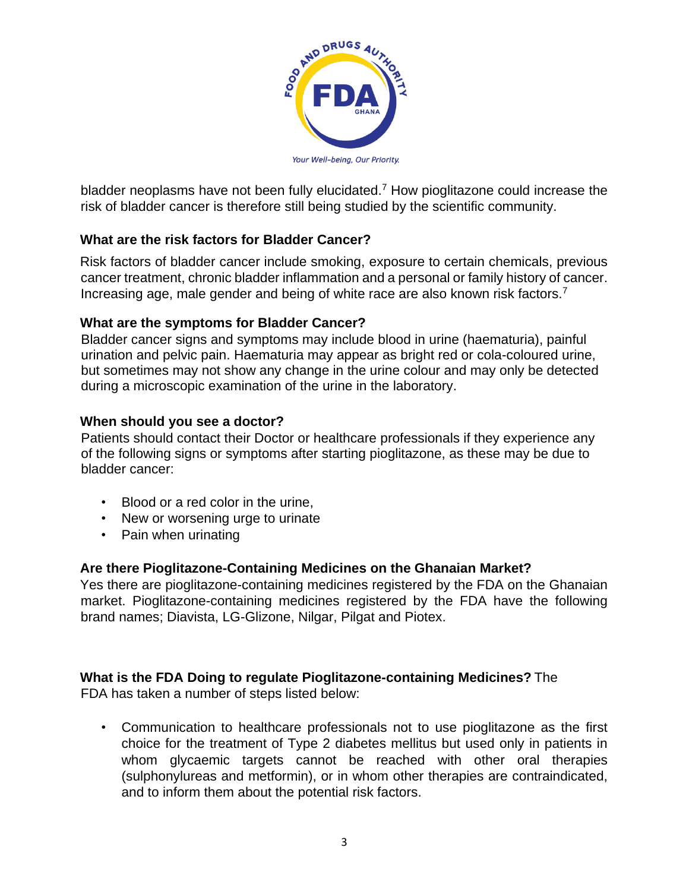

bladder neoplasms have not been fully elucidated.<sup>7</sup> How pioglitazone could increase the risk of bladder cancer is therefore still being studied by the scientific community.

## **What are the risk factors for Bladder Cancer?**

Risk factors of bladder cancer include smoking, exposure to certain chemicals, previous cancer treatment, chronic bladder inflammation and a personal or family history of cancer. Increasing age, male gender and being of white race are also known risk factors.<sup>7</sup>

### **What are the symptoms for Bladder Cancer?**

Bladder cancer signs and symptoms may include blood in urine (haematuria), painful urination and pelvic pain. Haematuria may appear as bright red or cola-coloured urine, but sometimes may not show any change in the urine colour and may only be detected during a microscopic examination of the urine in the laboratory.

### **When should you see a doctor?**

Patients should contact their Doctor or healthcare professionals if they experience any of the following signs or symptoms after starting pioglitazone, as these may be due to bladder cancer:

- Blood or a red color in the urine,
- New or worsening urge to urinate
- Pain when urinating

## **Are there Pioglitazone-Containing Medicines on the Ghanaian Market?**

Yes there are pioglitazone-containing medicines registered by the FDA on the Ghanaian market. Pioglitazone-containing medicines registered by the FDA have the following brand names; Diavista, LG-Glizone, Nilgar, Pilgat and Piotex.

## **What is the FDA Doing to regulate Pioglitazone-containing Medicines?** The

FDA has taken a number of steps listed below:

• Communication to healthcare professionals not to use pioglitazone as the first choice for the treatment of Type 2 diabetes mellitus but used only in patients in whom glycaemic targets cannot be reached with other oral therapies (sulphonylureas and metformin), or in whom other therapies are contraindicated, and to inform them about the potential risk factors.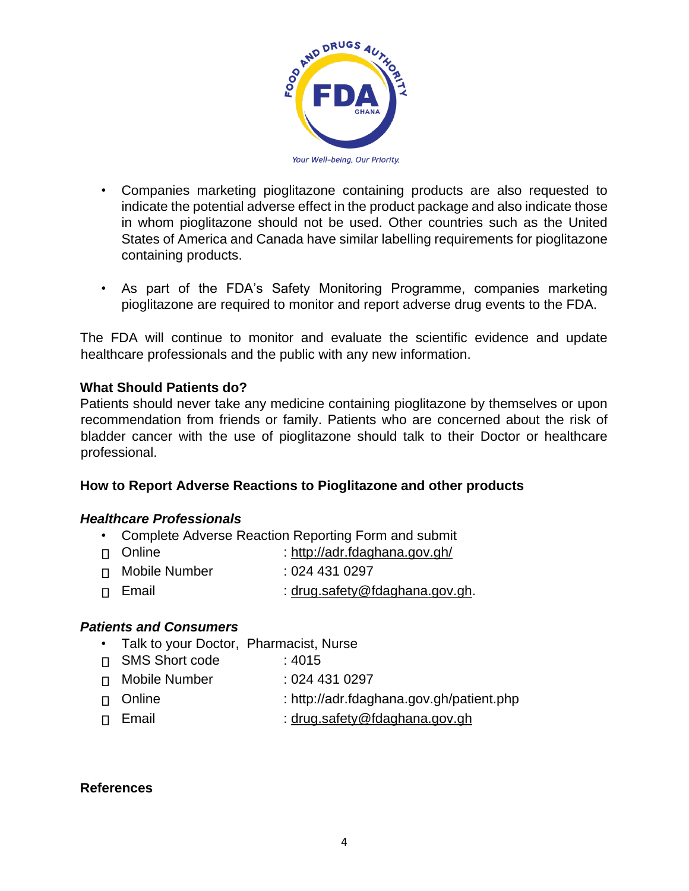

- Companies marketing pioglitazone containing products are also requested to indicate the potential adverse effect in the product package and also indicate those in whom pioglitazone should not be used. Other countries such as the United States of America and Canada have similar labelling requirements for pioglitazone containing products.
- As part of the FDA's Safety Monitoring Programme, companies marketing pioglitazone are required to monitor and report adverse drug events to the FDA.

The FDA will continue to monitor and evaluate the scientific evidence and update healthcare professionals and the public with any new information.

#### **What Should Patients do?**

Patients should never take any medicine containing pioglitazone by themselves or upon recommendation from friends or family. Patients who are concerned about the risk of bladder cancer with the use of pioglitazone should talk to their Doctor or healthcare professional.

### **How to Report Adverse Reactions to Pioglitazone and other products**

#### *Healthcare Professionals*

- Complete Adverse Reaction Reporting Form and submit
- Online : http://adr.fdaghana.gov.gh/
- Mobile Number : 024 431 0297
- □ Email : drug.safety@fdaghana.gov.gh.

### *Patients and Consumers*

- Talk to your Doctor, Pharmacist, Nurse
- SMS Short code : 4015
- Mobile Number : 024 431 0297
- Online : http://adr.fdaghana.gov.gh/patient.php
- Email : drug.safety@fdaghana.gov.gh

#### **References**